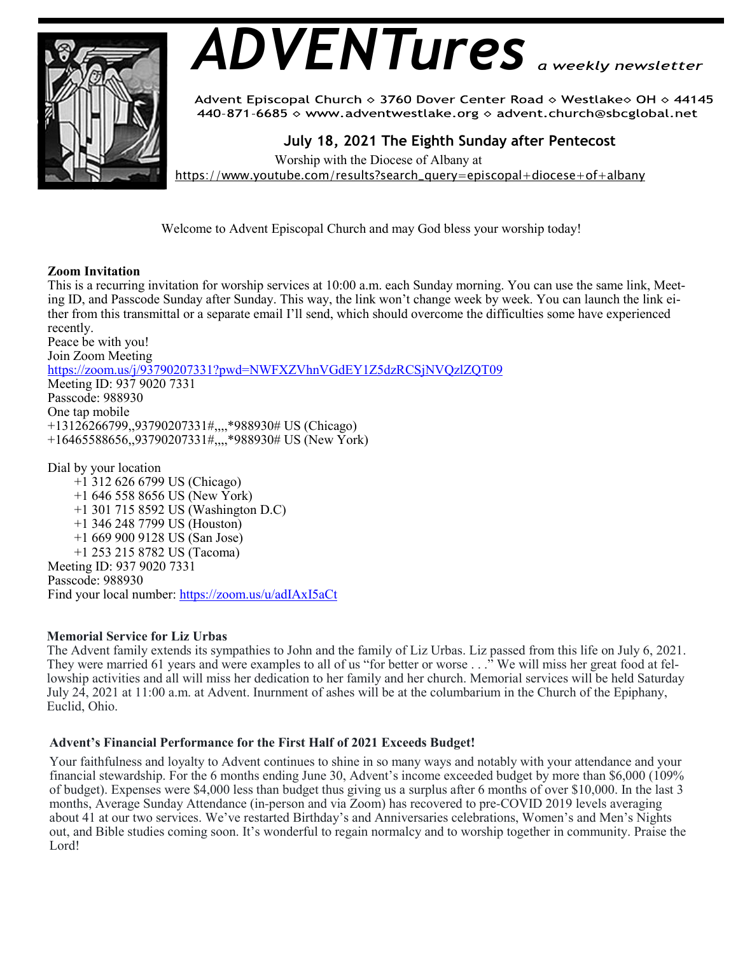

# *ADVENTures*

Advent Episcopal Church ◇ 3760 Dover Center Road ◇ Westlake◇ OH ◇ 44145 440-871-6685  $\diamond$  www.adventwestlake.org  $\diamond$  advent.church@sbcglobal.net

 **July 18, 2021 The Eighth Sunday after Pentecost** 

Worship with the Diocese of Albany at

https://www.youtube.com/results?search\_query=episcopal+diocese+of+albany

Welcome to Advent Episcopal Church and may God bless your worship today!

#### **Zoom Invitation**

This is a recurring invitation for worship services at 10:00 a.m. each Sunday morning. You can use the same link, Meeting ID, and Passcode Sunday after Sunday. This way, the link won't change week by week. You can launch the link either from this transmittal or a separate email I'll send, which should overcome the difficulties some have experienced recently.

Peace be with you! Join Zoom Meeting https://zoom.us/j/93790207331?pwd=NWFXZVhnVGdEY1Z5dzRCSjNVQzlZQT09 Meeting ID: 937 9020 7331 Passcode: 988930 One tap mobile +13126266799,,93790207331#,,,,\*988930# US (Chicago) +16465588656,,93790207331#,,,,\*988930# US (New York) Dial by your location

 +1 312 626 6799 US (Chicago) +1 646 558 8656 US (New York) +1 301 715 8592 US (Washington D.C) +1 346 248 7799 US (Houston) +1 669 900 9128 US (San Jose) +1 253 215 8782 US (Tacoma) Meeting ID: 937 9020 7331 Passcode: 988930 Find your local number: https://zoom.us/u/adIAxI5aCt

#### **Memorial Service for Liz Urbas**

The Advent family extends its sympathies to John and the family of Liz Urbas. Liz passed from this life on July 6, 2021. They were married 61 years and were examples to all of us "for better or worse . . ." We will miss her great food at fellowship activities and all will miss her dedication to her family and her church. Memorial services will be held Saturday July 24, 2021 at 11:00 a.m. at Advent. Inurnment of ashes will be at the columbarium in the Church of the Epiphany, Euclid, Ohio.

### **Advent's Financial Performance for the First Half of 2021 Exceeds Budget!**

Your faithfulness and loyalty to Advent continues to shine in so many ways and notably with your attendance and your financial stewardship. For the 6 months ending June 30, Advent's income exceeded budget by more than \$6,000 (109% of budget). Expenses were \$4,000 less than budget thus giving us a surplus after 6 months of over \$10,000. In the last 3 months, Average Sunday Attendance (in-person and via Zoom) has recovered to pre-COVID 2019 levels averaging about 41 at our two services. We've restarted Birthday's and Anniversaries celebrations, Women's and Men's Nights out, and Bible studies coming soon. It's wonderful to regain normalcy and to worship together in community. Praise the Lord!